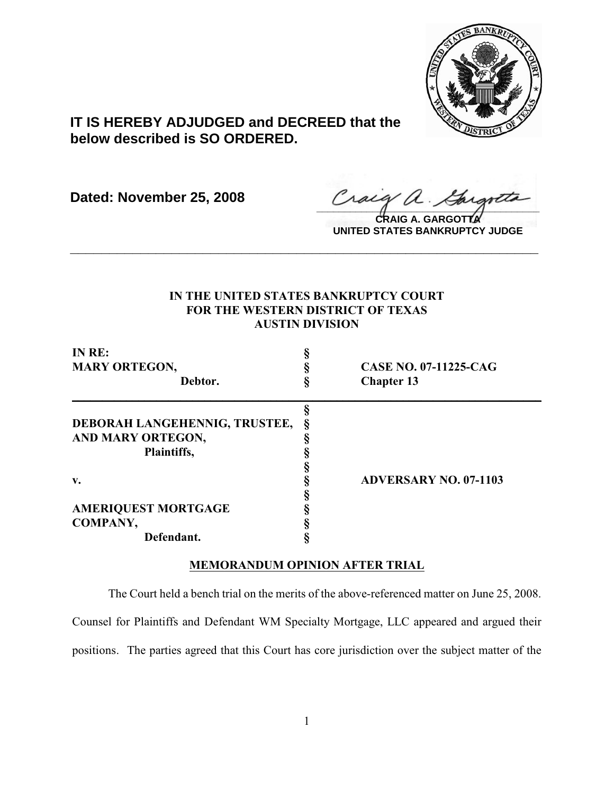

# **IT IS HEREBY ADJUDGED and DECREED that the below described is SO ORDERED.**

**Dated: November 25, 2008**

Craig a Gargotta

**CRAIG A. GARGOTTA UNITED STATES BANKRUPTCY JUDGE**

## **IN THE UNITED STATES BANKRUPTCY COURT FOR THE WESTERN DISTRICT OF TEXAS AUSTIN DIVISION**

**\_\_\_\_\_\_\_\_\_\_\_\_\_\_\_\_\_\_\_\_\_\_\_\_\_\_\_\_\_\_\_\_\_\_\_\_\_\_\_\_\_\_\_\_\_\_\_\_\_\_\_\_\_\_\_\_\_\_\_\_**

| IN RE:                        |                              |
|-------------------------------|------------------------------|
| <b>MARY ORTEGON,</b>          | <b>CASE NO. 07-11225-CAG</b> |
| Debtor.                       | <b>Chapter 13</b>            |
|                               |                              |
| DEBORAH LANGEHENNIG, TRUSTEE, |                              |
| AND MARY ORTEGON,             |                              |
| Plaintiffs,                   |                              |
|                               |                              |
| v.                            | <b>ADVERSARY NO. 07-1103</b> |
|                               |                              |
| <b>AMERIQUEST MORTGAGE</b>    |                              |
| COMPANY,                      |                              |
| Defendant.                    |                              |

### **MEMORANDUM OPINION AFTER TRIAL**

The Court held a bench trial on the merits of the above-referenced matter on June 25, 2008. Counsel for Plaintiffs and Defendant WM Specialty Mortgage, LLC appeared and argued their positions. The parties agreed that this Court has core jurisdiction over the subject matter of the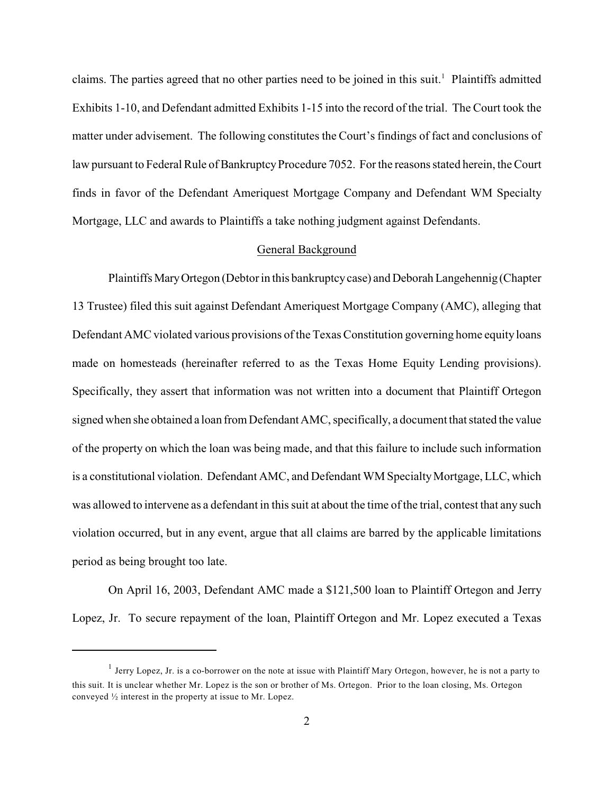claims. The parties agreed that no other parties need to be joined in this suit.<sup>1</sup> Plaintiffs admitted Exhibits 1-10, and Defendant admitted Exhibits 1-15 into the record of the trial. The Court took the matter under advisement. The following constitutes the Court's findings of fact and conclusions of law pursuant to Federal Rule of Bankruptcy Procedure 7052. For the reasons stated herein, the Court finds in favor of the Defendant Ameriquest Mortgage Company and Defendant WM Specialty Mortgage, LLC and awards to Plaintiffs a take nothing judgment against Defendants.

#### General Background

Plaintiffs Mary Ortegon (Debtor in this bankruptcy case) and Deborah Langehennig (Chapter 13 Trustee) filed this suit against Defendant Ameriquest Mortgage Company (AMC), alleging that Defendant AMC violated various provisions of the Texas Constitution governing home equity loans made on homesteads (hereinafter referred to as the Texas Home Equity Lending provisions). Specifically, they assert that information was not written into a document that Plaintiff Ortegon signed when she obtained a loan from Defendant AMC, specifically, a document that stated the value of the property on which the loan was being made, and that this failure to include such information is a constitutional violation. Defendant AMC, and Defendant WM Specialty Mortgage, LLC, which was allowed to intervene as a defendant in this suit at about the time of the trial, contest that any such violation occurred, but in any event, argue that all claims are barred by the applicable limitations period as being brought too late.

On April 16, 2003, Defendant AMC made a \$121,500 loan to Plaintiff Ortegon and Jerry Lopez, Jr. To secure repayment of the loan, Plaintiff Ortegon and Mr. Lopez executed a Texas

 $<sup>1</sup>$  Jerry Lopez, Jr. is a co-borrower on the note at issue with Plaintiff Mary Ortegon, however, he is not a party to</sup> this suit. It is unclear whether Mr. Lopez is the son or brother of Ms. Ortegon. Prior to the loan closing, Ms. Ortegon conveyed ½ interest in the property at issue to Mr. Lopez.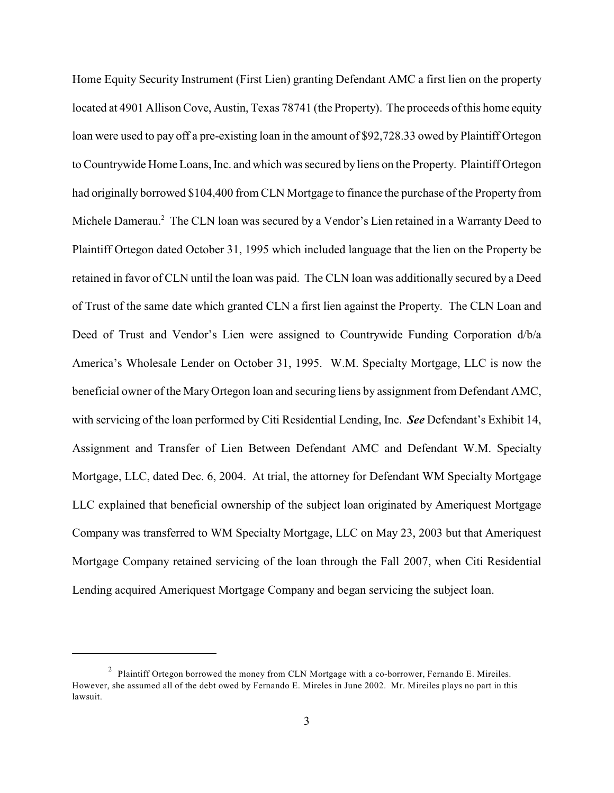Home Equity Security Instrument (First Lien) granting Defendant AMC a first lien on the property located at 4901 Allison Cove, Austin, Texas 78741 (the Property). The proceeds ofthis home equity loan were used to pay off a pre-existing loan in the amount of \$92,728.33 owed by Plaintiff Ortegon to Countrywide Home Loans, Inc. and which was secured by liens on the Property. Plaintiff Ortegon had originally borrowed \$104,400 from CLN Mortgage to finance the purchase of the Property from Michele Damerau.<sup>2</sup> The CLN loan was secured by a Vendor's Lien retained in a Warranty Deed to Plaintiff Ortegon dated October 31, 1995 which included language that the lien on the Property be retained in favor of CLN until the loan was paid. The CLN loan was additionally secured by a Deed of Trust of the same date which granted CLN a first lien against the Property. The CLN Loan and Deed of Trust and Vendor's Lien were assigned to Countrywide Funding Corporation d/b/a America's Wholesale Lender on October 31, 1995. W.M. Specialty Mortgage, LLC is now the beneficial owner of the Mary Ortegon loan and securing liens by assignment from Defendant AMC, with servicing of the loan performed by Citi Residential Lending, Inc. *See* Defendant's Exhibit 14, Assignment and Transfer of Lien Between Defendant AMC and Defendant W.M. Specialty Mortgage, LLC, dated Dec. 6, 2004. At trial, the attorney for Defendant WM Specialty Mortgage LLC explained that beneficial ownership of the subject loan originated by Ameriquest Mortgage Company was transferred to WM Specialty Mortgage, LLC on May 23, 2003 but that Ameriquest Mortgage Company retained servicing of the loan through the Fall 2007, when Citi Residential Lending acquired Ameriquest Mortgage Company and began servicing the subject loan.

 $\mu$ <sup>2</sup> Plaintiff Ortegon borrowed the money from CLN Mortgage with a co-borrower, Fernando E. Mireiles. However, she assumed all of the debt owed by Fernando E. Mireles in June 2002. Mr. Mireiles plays no part in this lawsuit.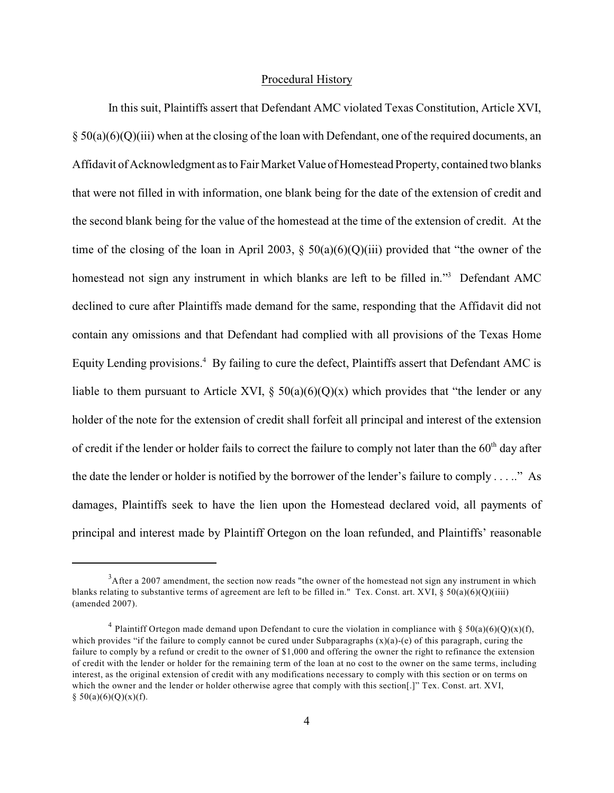#### Procedural History

In this suit, Plaintiffs assert that Defendant AMC violated Texas Constitution, Article XVI,  $\S 50(a)(6)(Q)(iii)$  when at the closing of the loan with Defendant, one of the required documents, an Affidavit of Acknowledgment as to Fair Market Value of Homestead Property, contained two blanks that were not filled in with information, one blank being for the date of the extension of credit and the second blank being for the value of the homestead at the time of the extension of credit. At the time of the closing of the loan in April 2003,  $\S$  50(a)(6)(Q)(iii) provided that "the owner of the homestead not sign any instrument in which blanks are left to be filled in."<sup>3</sup> Defendant AMC declined to cure after Plaintiffs made demand for the same, responding that the Affidavit did not contain any omissions and that Defendant had complied with all provisions of the Texas Home Equity Lending provisions.<sup>4</sup> By failing to cure the defect, Plaintiffs assert that Defendant AMC is liable to them pursuant to Article XVI,  $\S$  50(a)(6)(Q)(x) which provides that "the lender or any holder of the note for the extension of credit shall forfeit all principal and interest of the extension of credit if the lender or holder fails to correct the failure to comply not later than the  $60<sup>th</sup>$  day after the date the lender or holder is notified by the borrower of the lender's failure to comply . . . .." As damages, Plaintiffs seek to have the lien upon the Homestead declared void, all payments of principal and interest made by Plaintiff Ortegon on the loan refunded, and Plaintiffs' reasonable

 $A^3$ After a 2007 amendment, the section now reads "the owner of the homestead not sign any instrument in which blanks relating to substantive terms of agreement are left to be filled in." Tex. Const. art. XVI, § 50(a)(6)(Q)(iiii) (amended 2007).

<sup>&</sup>lt;sup>4</sup> Plaintiff Ortegon made demand upon Defendant to cure the violation in compliance with § 50(a)(6)(Q)(x)(f), which provides "if the failure to comply cannot be cured under Subparagraphs  $(x)(a)-(e)$  of this paragraph, curing the failure to comply by a refund or credit to the owner of \$1,000 and offering the owner the right to refinance the extension of credit with the lender or holder for the remaining term of the loan at no cost to the owner on the same terms, including interest, as the original extension of credit with any modifications necessary to comply with this section or on terms on which the owner and the lender or holder otherwise agree that comply with this section[.]" Tex. Const. art. XVI,  $§ 50(a)(6)(Q)(x)(f).$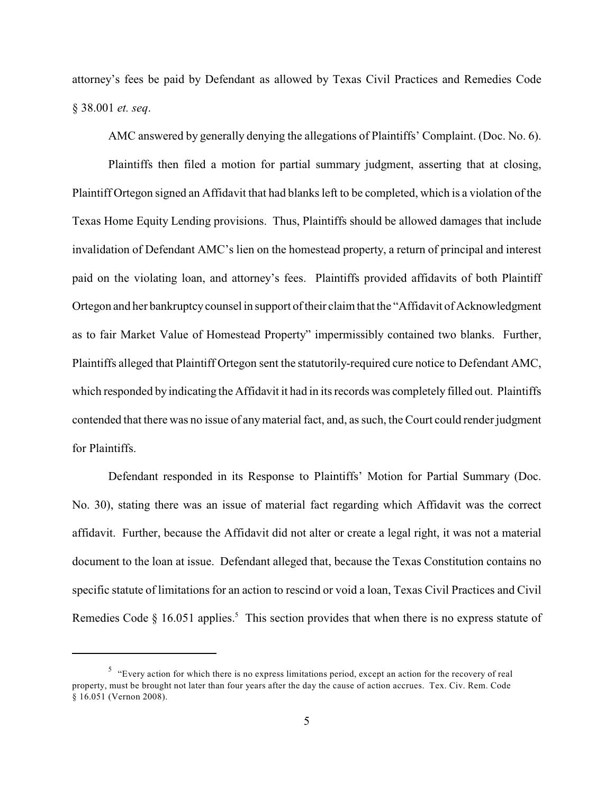attorney's fees be paid by Defendant as allowed by Texas Civil Practices and Remedies Code § 38.001 *et. seq*.

AMC answered by generally denying the allegations of Plaintiffs' Complaint. (Doc. No. 6).

Plaintiffs then filed a motion for partial summary judgment, asserting that at closing, Plaintiff Ortegon signed an Affidavit that had blanks left to be completed, which is a violation of the Texas Home Equity Lending provisions. Thus, Plaintiffs should be allowed damages that include invalidation of Defendant AMC's lien on the homestead property, a return of principal and interest paid on the violating loan, and attorney's fees. Plaintiffs provided affidavits of both Plaintiff Ortegon and her bankruptcy counsel in support of their claim that the "Affidavit of Acknowledgment as to fair Market Value of Homestead Property" impermissibly contained two blanks. Further, Plaintiffs alleged that Plaintiff Ortegon sent the statutorily-required cure notice to Defendant AMC, which responded by indicating the Affidavit it had in its records was completely filled out. Plaintiffs contended that there was no issue of anymaterial fact, and, as such, the Court could render judgment for Plaintiffs.

Defendant responded in its Response to Plaintiffs' Motion for Partial Summary (Doc. No. 30), stating there was an issue of material fact regarding which Affidavit was the correct affidavit. Further, because the Affidavit did not alter or create a legal right, it was not a material document to the loan at issue. Defendant alleged that, because the Texas Constitution contains no specific statute of limitations for an action to rescind or void a loan, Texas Civil Practices and Civil Remedies Code  $\S$  16.051 applies.<sup>5</sup> This section provides that when there is no express statute of

 $<sup>5</sup>$  "Every action for which there is no express limitations period, except an action for the recovery of real</sup> property, must be brought not later than four years after the day the cause of action accrues. Tex. Civ. Rem. Code § 16.051 (Vernon 2008).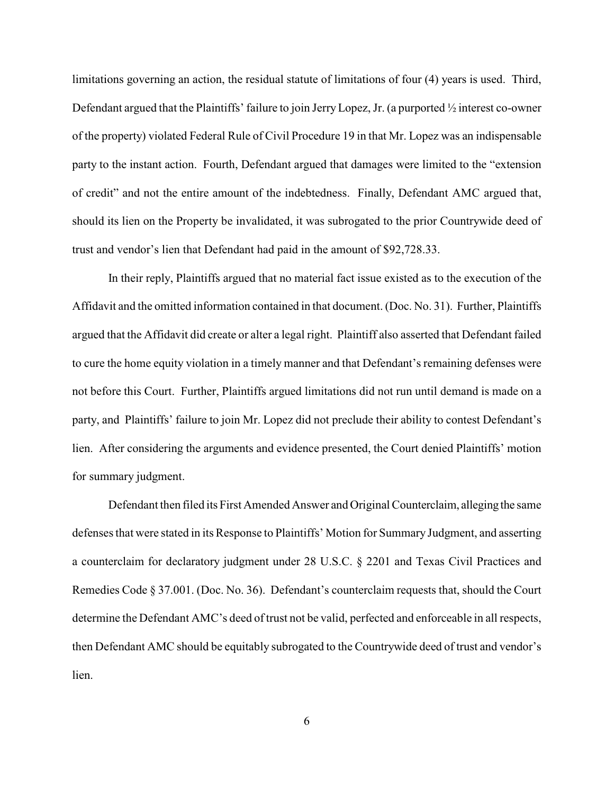limitations governing an action, the residual statute of limitations of four (4) years is used. Third, Defendant argued that the Plaintiffs' failure to join JerryLopez, Jr. (a purported ½ interest co-owner of the property) violated Federal Rule of Civil Procedure 19 in that Mr. Lopez was an indispensable party to the instant action. Fourth, Defendant argued that damages were limited to the "extension of credit" and not the entire amount of the indebtedness. Finally, Defendant AMC argued that, should its lien on the Property be invalidated, it was subrogated to the prior Countrywide deed of trust and vendor's lien that Defendant had paid in the amount of \$92,728.33.

In their reply, Plaintiffs argued that no material fact issue existed as to the execution of the Affidavit and the omitted information contained in that document. (Doc. No. 31). Further, Plaintiffs argued that the Affidavit did create or alter a legal right. Plaintiff also asserted that Defendant failed to cure the home equity violation in a timely manner and that Defendant's remaining defenses were not before this Court. Further, Plaintiffs argued limitations did not run until demand is made on a party, and Plaintiffs' failure to join Mr. Lopez did not preclude their ability to contest Defendant's lien. After considering the arguments and evidence presented, the Court denied Plaintiffs' motion for summary judgment.

Defendant then filed its First Amended Answer and Original Counterclaim, alleging the same defenses that were stated in its Response to Plaintiffs' Motion for Summary Judgment, and asserting a counterclaim for declaratory judgment under 28 U.S.C. § 2201 and Texas Civil Practices and Remedies Code § 37.001. (Doc. No. 36). Defendant's counterclaim requests that, should the Court determine the Defendant AMC's deed of trust not be valid, perfected and enforceable in all respects, then Defendant AMC should be equitably subrogated to the Countrywide deed of trust and vendor's lien.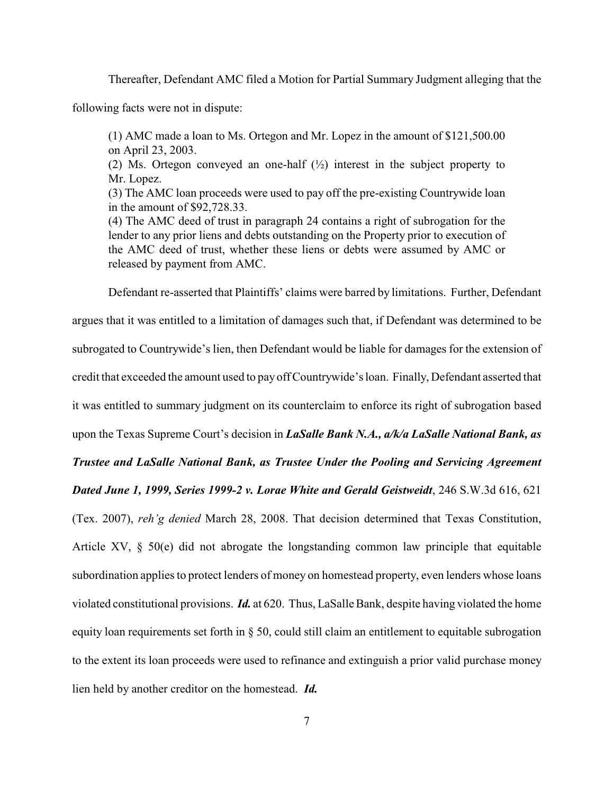Thereafter, Defendant AMC filed a Motion for Partial Summary Judgment alleging that the

following facts were not in dispute:

(1) AMC made a loan to Ms. Ortegon and Mr. Lopez in the amount of \$121,500.00 on April 23, 2003.

(2) Ms. Ortegon conveyed an one-half  $(\frac{1}{2})$  interest in the subject property to Mr. Lopez.

(3) The AMC loan proceeds were used to pay off the pre-existing Countrywide loan in the amount of \$92,728.33.

(4) The AMC deed of trust in paragraph 24 contains a right of subrogation for the lender to any prior liens and debts outstanding on the Property prior to execution of the AMC deed of trust, whether these liens or debts were assumed by AMC or released by payment from AMC.

Defendant re-asserted that Plaintiffs' claims were barred by limitations. Further, Defendant argues that it was entitled to a limitation of damages such that, if Defendant was determined to be subrogated to Countrywide's lien, then Defendant would be liable for damages for the extension of credit that exceeded the amount used to payoff Countrywide's loan. Finally, Defendant asserted that it was entitled to summary judgment on its counterclaim to enforce its right of subrogation based upon the Texas Supreme Court's decision in *LaSalle Bank N.A., a/k/a LaSalle National Bank, as Trustee and LaSalle National Bank, as Trustee Under the Pooling and Servicing Agreement Dated June 1, 1999, Series 1999-2 v. Lorae White and Gerald Geistweidt*, 246 S.W.3d 616, 621 (Tex. 2007), *reh'g denied* March 28, 2008. That decision determined that Texas Constitution, Article XV, § 50(e) did not abrogate the longstanding common law principle that equitable subordination applies to protect lenders of money on homestead property, even lenders whose loans violated constitutional provisions. *Id.* at 620. Thus, LaSalle Bank, despite having violated the home equity loan requirements set forth in § 50, could still claim an entitlement to equitable subrogation to the extent its loan proceeds were used to refinance and extinguish a prior valid purchase money lien held by another creditor on the homestead. *Id.*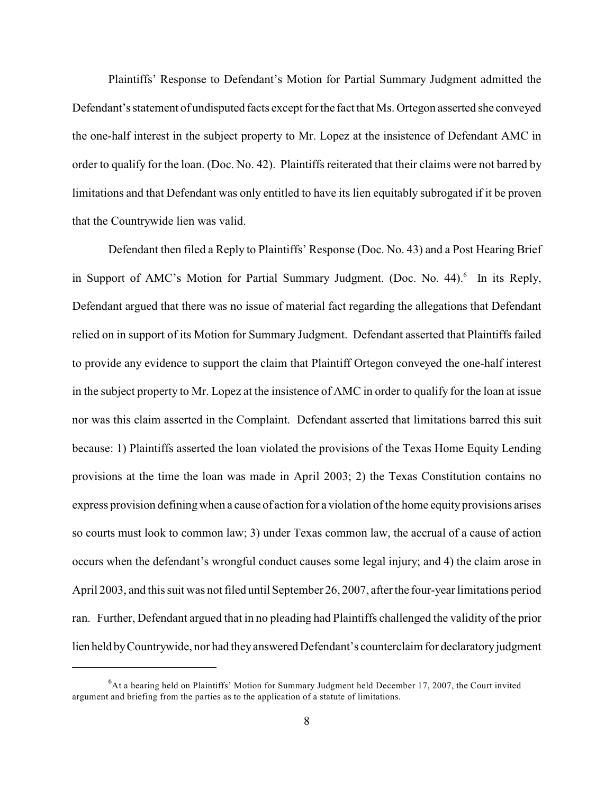Plaintiffs' Response to Defendant's Motion for Partial Summary Judgment admitted the Defendant's statement of undisputed facts except for the fact that Ms. Ortegon asserted she conveyed the one-half interest in the subject property to Mr. Lopez at the insistence of Defendant AMC in order to qualify for the loan. (Doc. No. 42). Plaintiffs reiterated that their claims were not barred by limitations and that Defendant was only entitled to have its lien equitably subrogated if it be proven that the Countrywide lien was valid.

Defendant then filed a Reply to Plaintiffs' Response (Doc. No. 43) and a Post Hearing Brief in Support of AMC's Motion for Partial Summary Judgment. (Doc. No.  $44$ ).<sup>6</sup> In its Reply, Defendant argued that there was no issue of material fact regarding the allegations that Defendant relied on in support of its Motion for Summary Judgment. Defendant asserted that Plaintiffs failed to provide any evidence to support the claim that Plaintiff Ortegon conveyed the one-half interest in the subject property to Mr. Lopez at the insistence of AMC in order to qualify for the loan at issue nor was this claim asserted in the Complaint. Defendant asserted that limitations barred this suit because: 1) Plaintiffs asserted the loan violated the provisions of the Texas Home Equity Lending provisions at the time the loan was made in April 2003; 2) the Texas Constitution contains no express provision definingwhen a cause of action for a violation of the home equity provisions arises so courts must look to common law; 3) under Texas common law, the accrual of a cause of action occurs when the defendant's wrongful conduct causes some legal injury; and 4) the claim arose in April 2003, and this suit was not filed until September 26, 2007, after the four-year limitations period ran. Further, Defendant argued that in no pleading had Plaintiffs challenged the validity of the prior lien held by Countrywide, nor had they answered Defendant's counterclaim for declaratory judgment

 ${}^{6}$ At a hearing held on Plaintiffs' Motion for Summary Judgment held December 17, 2007, the Court invited argument and briefing from the parties as to the application of a statute of limitations.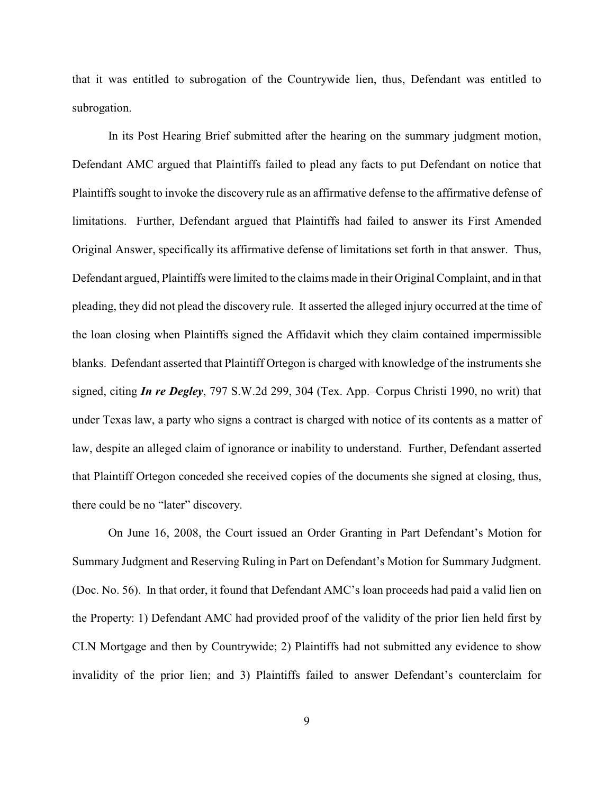that it was entitled to subrogation of the Countrywide lien, thus, Defendant was entitled to subrogation.

In its Post Hearing Brief submitted after the hearing on the summary judgment motion, Defendant AMC argued that Plaintiffs failed to plead any facts to put Defendant on notice that Plaintiffs sought to invoke the discovery rule as an affirmative defense to the affirmative defense of limitations. Further, Defendant argued that Plaintiffs had failed to answer its First Amended Original Answer, specifically its affirmative defense of limitations set forth in that answer. Thus, Defendant argued, Plaintiffs were limited to the claims made in their Original Complaint, and in that pleading, they did not plead the discovery rule. It asserted the alleged injury occurred at the time of the loan closing when Plaintiffs signed the Affidavit which they claim contained impermissible blanks. Defendant asserted that Plaintiff Ortegon is charged with knowledge of the instruments she signed, citing *In re Degley*, 797 S.W.2d 299, 304 (Tex. App.–Corpus Christi 1990, no writ) that under Texas law, a party who signs a contract is charged with notice of its contents as a matter of law, despite an alleged claim of ignorance or inability to understand. Further, Defendant asserted that Plaintiff Ortegon conceded she received copies of the documents she signed at closing, thus, there could be no "later" discovery.

On June 16, 2008, the Court issued an Order Granting in Part Defendant's Motion for Summary Judgment and Reserving Ruling in Part on Defendant's Motion for Summary Judgment. (Doc. No. 56). In that order, it found that Defendant AMC's loan proceeds had paid a valid lien on the Property: 1) Defendant AMC had provided proof of the validity of the prior lien held first by CLN Mortgage and then by Countrywide; 2) Plaintiffs had not submitted any evidence to show invalidity of the prior lien; and 3) Plaintiffs failed to answer Defendant's counterclaim for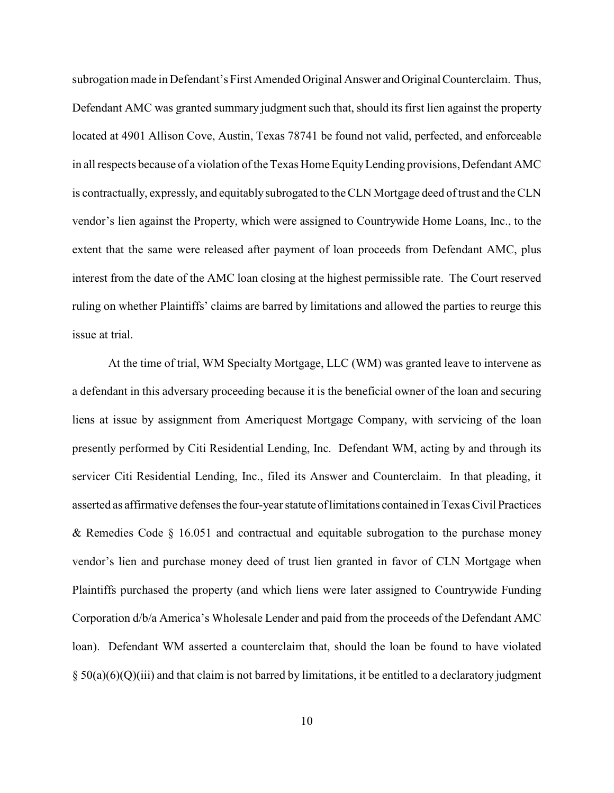subrogation made in Defendant's First Amended Original Answer and Original Counterclaim. Thus, Defendant AMC was granted summary judgment such that, should its first lien against the property located at 4901 Allison Cove, Austin, Texas 78741 be found not valid, perfected, and enforceable in all respects because of a violation of the Texas Home Equity Lending provisions, Defendant AMC is contractually, expressly, and equitably subrogated to the CLN Mortgage deed of trust and the CLN vendor's lien against the Property, which were assigned to Countrywide Home Loans, Inc., to the extent that the same were released after payment of loan proceeds from Defendant AMC, plus interest from the date of the AMC loan closing at the highest permissible rate. The Court reserved ruling on whether Plaintiffs' claims are barred by limitations and allowed the parties to reurge this issue at trial.

At the time of trial, WM Specialty Mortgage, LLC (WM) was granted leave to intervene as a defendant in this adversary proceeding because it is the beneficial owner of the loan and securing liens at issue by assignment from Ameriquest Mortgage Company, with servicing of the loan presently performed by Citi Residential Lending, Inc. Defendant WM, acting by and through its servicer Citi Residential Lending, Inc., filed its Answer and Counterclaim. In that pleading, it asserted as affirmative defenses the four-year statute of limitations contained in Texas Civil Practices & Remedies Code § 16.051 and contractual and equitable subrogation to the purchase money vendor's lien and purchase money deed of trust lien granted in favor of CLN Mortgage when Plaintiffs purchased the property (and which liens were later assigned to Countrywide Funding Corporation d/b/a America's Wholesale Lender and paid from the proceeds of the Defendant AMC loan). Defendant WM asserted a counterclaim that, should the loan be found to have violated  $\S 50(a)(6)(Q)(iii)$  and that claim is not barred by limitations, it be entitled to a declaratory judgment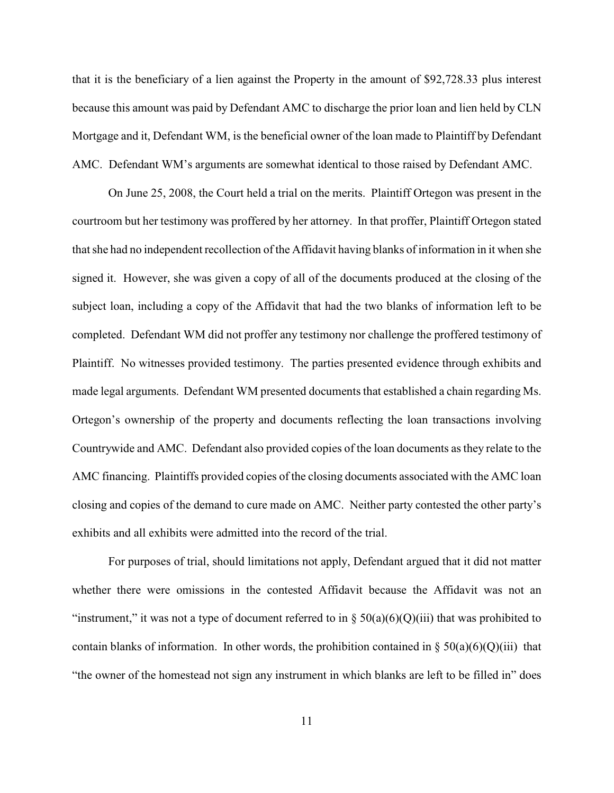that it is the beneficiary of a lien against the Property in the amount of \$92,728.33 plus interest because this amount was paid by Defendant AMC to discharge the prior loan and lien held by CLN Mortgage and it, Defendant WM, is the beneficial owner of the loan made to Plaintiff by Defendant AMC. Defendant WM's arguments are somewhat identical to those raised by Defendant AMC.

On June 25, 2008, the Court held a trial on the merits. Plaintiff Ortegon was present in the courtroom but her testimony was proffered by her attorney. In that proffer, Plaintiff Ortegon stated that she had no independent recollection of the Affidavit having blanks of information in it when she signed it. However, she was given a copy of all of the documents produced at the closing of the subject loan, including a copy of the Affidavit that had the two blanks of information left to be completed. Defendant WM did not proffer any testimony nor challenge the proffered testimony of Plaintiff. No witnesses provided testimony. The parties presented evidence through exhibits and made legal arguments. Defendant WM presented documents that established a chain regarding Ms. Ortegon's ownership of the property and documents reflecting the loan transactions involving Countrywide and AMC. Defendant also provided copies of the loan documents as they relate to the AMC financing. Plaintiffs provided copies of the closing documents associated with the AMC loan closing and copies of the demand to cure made on AMC. Neither party contested the other party's exhibits and all exhibits were admitted into the record of the trial.

For purposes of trial, should limitations not apply, Defendant argued that it did not matter whether there were omissions in the contested Affidavit because the Affidavit was not an "instrument," it was not a type of document referred to in  $\S 50(a)(6)(Q)(iii)$  that was prohibited to contain blanks of information. In other words, the prohibition contained in  $\S 50(a)(6)(Q)(iii)$  that "the owner of the homestead not sign any instrument in which blanks are left to be filled in" does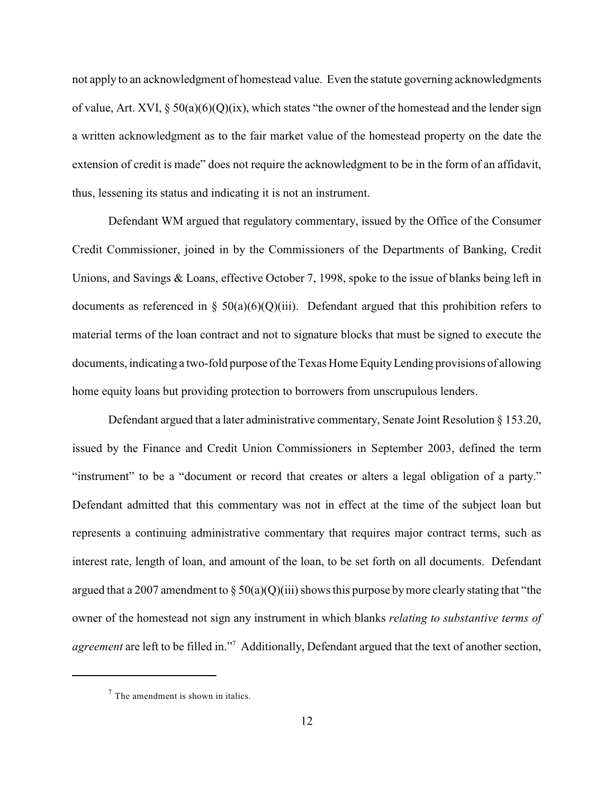not apply to an acknowledgment of homestead value. Even the statute governing acknowledgments of value, Art. XVI,  $\S 50(a)(6)(Q)(ix)$ , which states "the owner of the homestead and the lender sign a written acknowledgment as to the fair market value of the homestead property on the date the extension of credit is made" does not require the acknowledgment to be in the form of an affidavit, thus, lessening its status and indicating it is not an instrument.

Defendant WM argued that regulatory commentary, issued by the Office of the Consumer Credit Commissioner, joined in by the Commissioners of the Departments of Banking, Credit Unions, and Savings & Loans, effective October 7, 1998, spoke to the issue of blanks being left in documents as referenced in §  $50(a)(6)(Q)(iii)$ . Defendant argued that this prohibition refers to material terms of the loan contract and not to signature blocks that must be signed to execute the documents, indicating a two-fold purpose of the Texas Home Equity Lending provisions of allowing home equity loans but providing protection to borrowers from unscrupulous lenders.

Defendant argued that a later administrative commentary, Senate Joint Resolution  $\S 153.20$ , issued by the Finance and Credit Union Commissioners in September 2003, defined the term "instrument" to be a "document or record that creates or alters a legal obligation of a party." Defendant admitted that this commentary was not in effect at the time of the subject loan but represents a continuing administrative commentary that requires major contract terms, such as interest rate, length of loan, and amount of the loan, to be set forth on all documents. Defendant argued that a 2007 amendment to  $\S 50(a)(Q)(iii)$  shows this purpose by more clearly stating that "the owner of the homestead not sign any instrument in which blanks *relating to substantive terms of agreement* are left to be filled in."<sup>7</sup> Additionally, Defendant argued that the text of another section,

 $7$  The amendment is shown in italics.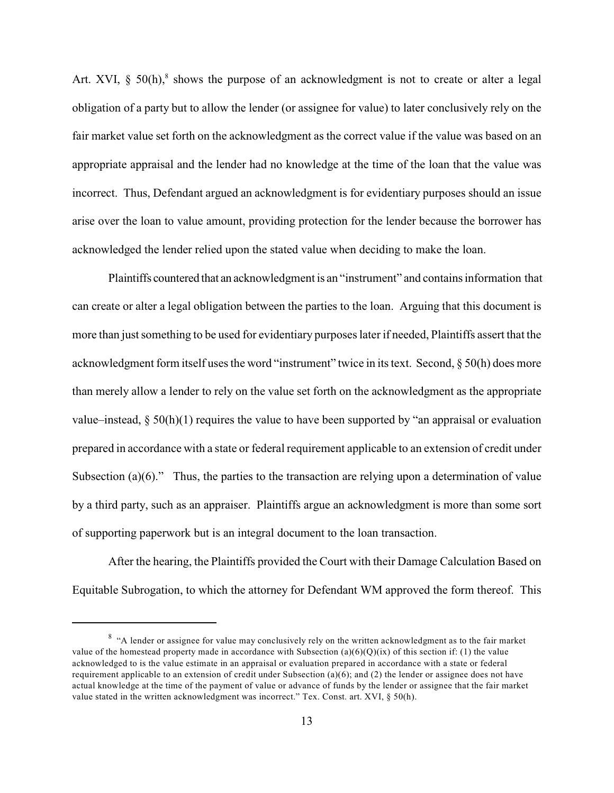Art. XVI,  $\S$  50(h),<sup>8</sup> shows the purpose of an acknowledgment is not to create or alter a legal obligation of a party but to allow the lender (or assignee for value) to later conclusively rely on the fair market value set forth on the acknowledgment as the correct value if the value was based on an appropriate appraisal and the lender had no knowledge at the time of the loan that the value was incorrect. Thus, Defendant argued an acknowledgment is for evidentiary purposes should an issue arise over the loan to value amount, providing protection for the lender because the borrower has acknowledged the lender relied upon the stated value when deciding to make the loan.

Plaintiffs countered that an acknowledgment is an "instrument" and contains information that can create or alter a legal obligation between the parties to the loan. Arguing that this document is more than just something to be used for evidentiary purposes later if needed, Plaintiffs assert that the acknowledgment form itself uses the word "instrument" twice in its text. Second, § 50(h) does more than merely allow a lender to rely on the value set forth on the acknowledgment as the appropriate value–instead,  $\S 50(h)(1)$  requires the value to have been supported by "an appraisal or evaluation prepared in accordance with a state or federal requirement applicable to an extension of credit under Subsection (a)(6)." Thus, the parties to the transaction are relying upon a determination of value by a third party, such as an appraiser. Plaintiffs argue an acknowledgment is more than some sort of supporting paperwork but is an integral document to the loan transaction.

After the hearing, the Plaintiffs provided the Court with their Damage Calculation Based on Equitable Subrogation, to which the attorney for Defendant WM approved the form thereof. This

<sup>&</sup>lt;sup>8</sup> "A lender or assignee for value may conclusively rely on the written acknowledgment as to the fair market value of the homestead property made in accordance with Subsection (a)(6)(Q)(ix) of this section if: (1) the value acknowledged to is the value estimate in an appraisal or evaluation prepared in accordance with a state or federal requirement applicable to an extension of credit under Subsection  $(a)(6)$ ; and  $(2)$  the lender or assignee does not have actual knowledge at the time of the payment of value or advance of funds by the lender or assignee that the fair market value stated in the written acknowledgment was incorrect." Tex. Const. art. XVI, § 50(h).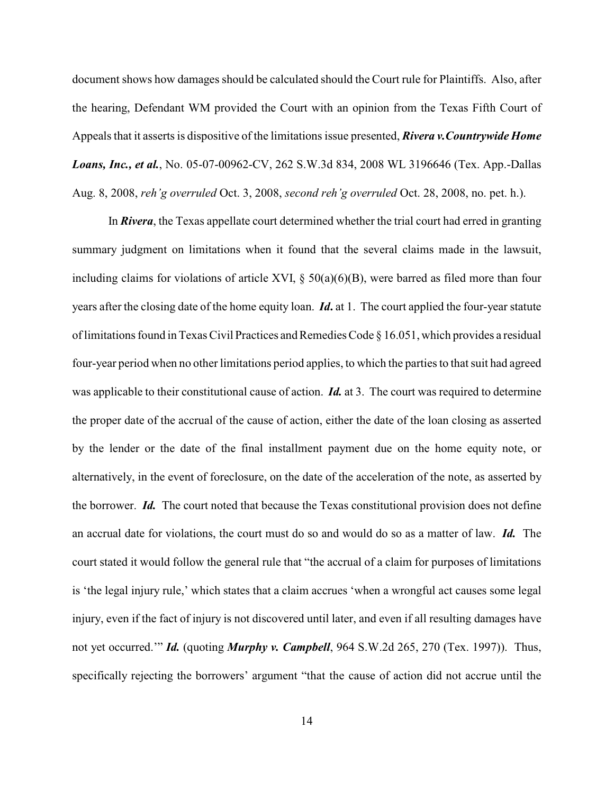document shows how damages should be calculated should the Court rule for Plaintiffs. Also, after the hearing, Defendant WM provided the Court with an opinion from the Texas Fifth Court of Appeals that it asserts is dispositive of the limitations issue presented, *Rivera v.Countrywide Home Loans, Inc., et al.*, No. 05-07-00962-CV, 262 S.W.3d 834, 2008 WL 3196646 (Tex. App.-Dallas Aug. 8, 2008, *reh'g overruled* Oct. 3, 2008, *second reh'g overruled* Oct. 28, 2008, no. pet. h.).

In *Rivera*, the Texas appellate court determined whether the trial court had erred in granting summary judgment on limitations when it found that the several claims made in the lawsuit, including claims for violations of article XVI,  $\S 50(a)(6)(B)$ , were barred as filed more than four years after the closing date of the home equity loan. *Id***.** at 1. The court applied the four-year statute of limitations found in Texas Civil Practices and Remedies Code § 16.051, which provides a residual four-year period when no other limitations period applies, to which the parties to that suit had agreed was applicable to their constitutional cause of action. *Id.* at 3. The court was required to determine the proper date of the accrual of the cause of action, either the date of the loan closing as asserted by the lender or the date of the final installment payment due on the home equity note, or alternatively, in the event of foreclosure, on the date of the acceleration of the note, as asserted by the borrower. *Id.* The court noted that because the Texas constitutional provision does not define an accrual date for violations, the court must do so and would do so as a matter of law. *Id.* The court stated it would follow the general rule that "the accrual of a claim for purposes of limitations is 'the legal injury rule,' which states that a claim accrues 'when a wrongful act causes some legal injury, even if the fact of injury is not discovered until later, and even if all resulting damages have not yet occurred.'" *Id.* (quoting *Murphy v. Campbell*, 964 S.W.2d 265, 270 (Tex. 1997)). Thus, specifically rejecting the borrowers' argument "that the cause of action did not accrue until the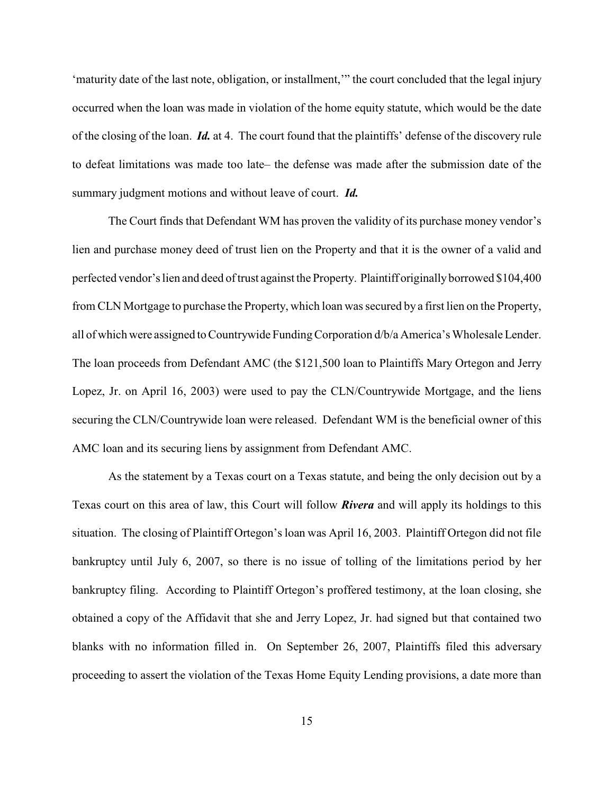'maturity date of the last note, obligation, or installment,'" the court concluded that the legal injury occurred when the loan was made in violation of the home equity statute, which would be the date of the closing of the loan. *Id.* at 4. The court found that the plaintiffs' defense of the discovery rule to defeat limitations was made too late– the defense was made after the submission date of the summary judgment motions and without leave of court. *Id.*

The Court finds that Defendant WM has proven the validity of its purchase money vendor's lien and purchase money deed of trust lien on the Property and that it is the owner of a valid and perfected vendor's lien and deed of trust against the Property. Plaintiff originally borrowed \$104,400 from CLN Mortgage to purchase the Property, which loan was secured by a first lien on the Property, all of which were assigned to Countrywide Funding Corporation d/b/a America's Wholesale Lender. The loan proceeds from Defendant AMC (the \$121,500 loan to Plaintiffs Mary Ortegon and Jerry Lopez, Jr. on April 16, 2003) were used to pay the CLN/Countrywide Mortgage, and the liens securing the CLN/Countrywide loan were released. Defendant WM is the beneficial owner of this AMC loan and its securing liens by assignment from Defendant AMC.

As the statement by a Texas court on a Texas statute, and being the only decision out by a Texas court on this area of law, this Court will follow *Rivera* and will apply its holdings to this situation. The closing of Plaintiff Ortegon'sloan was April 16, 2003. Plaintiff Ortegon did not file bankruptcy until July 6, 2007, so there is no issue of tolling of the limitations period by her bankruptcy filing. According to Plaintiff Ortegon's proffered testimony, at the loan closing, she obtained a copy of the Affidavit that she and Jerry Lopez, Jr. had signed but that contained two blanks with no information filled in. On September 26, 2007, Plaintiffs filed this adversary proceeding to assert the violation of the Texas Home Equity Lending provisions, a date more than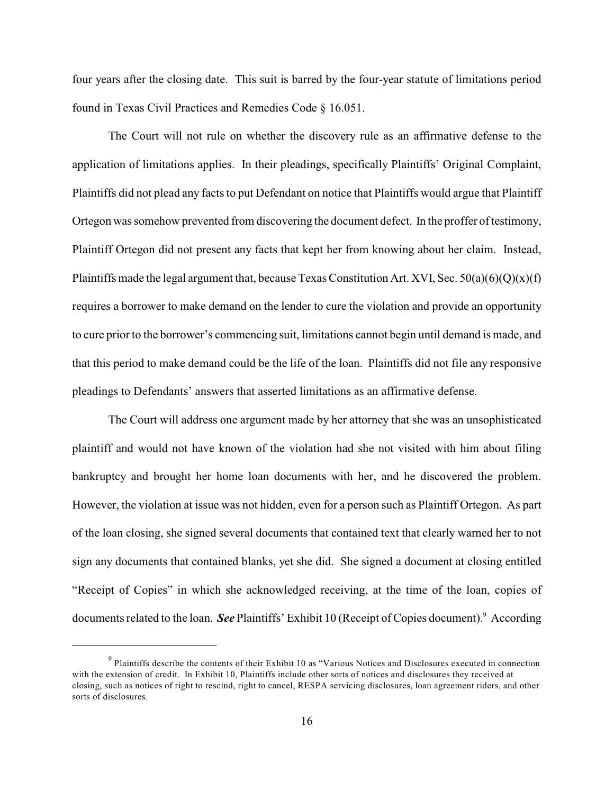four years after the closing date. This suit is barred by the four-year statute of limitations period found in Texas Civil Practices and Remedies Code § 16.051.

The Court will not rule on whether the discovery rule as an affirmative defense to the application of limitations applies. In their pleadings, specifically Plaintiffs' Original Complaint, Plaintiffs did not plead any facts to put Defendant on notice that Plaintiffs would argue that Plaintiff Ortegon was somehow prevented from discovering the document defect. In the proffer of testimony, Plaintiff Ortegon did not present any facts that kept her from knowing about her claim. Instead, Plaintiffs made the legal argument that, because Texas Constitution Art. XVI, Sec.  $50(a)(6)(Q)(x)(f)$ requires a borrower to make demand on the lender to cure the violation and provide an opportunity to cure prior to the borrower's commencing suit, limitations cannot begin until demand is made, and that this period to make demand could be the life of the loan. Plaintiffs did not file any responsive pleadings to Defendants' answers that asserted limitations as an affirmative defense.

The Court will address one argument made by her attorney that she was an unsophisticated plaintiff and would not have known of the violation had she not visited with him about filing bankruptcy and brought her home loan documents with her, and he discovered the problem. However, the violation at issue was not hidden, even for a person such as Plaintiff Ortegon. As part of the loan closing, she signed several documents that contained text that clearly warned her to not sign any documents that contained blanks, yet she did. She signed a document at closing entitled "Receipt of Copies" in which she acknowledged receiving, at the time of the loan, copies of documents related to the loan. *See* Plaintiffs' Exhibit 10 (Receipt of Copies document).<sup>9</sup> According

 $9$  Plaintiffs describe the contents of their Exhibit 10 as "Various Notices and Disclosures executed in connection with the extension of credit. In Exhibit 10, Plaintiffs include other sorts of notices and disclosures they received at closing, such as notices of right to rescind, right to cancel, RESPA servicing disclosures, loan agreement riders, and other sorts of disclosures.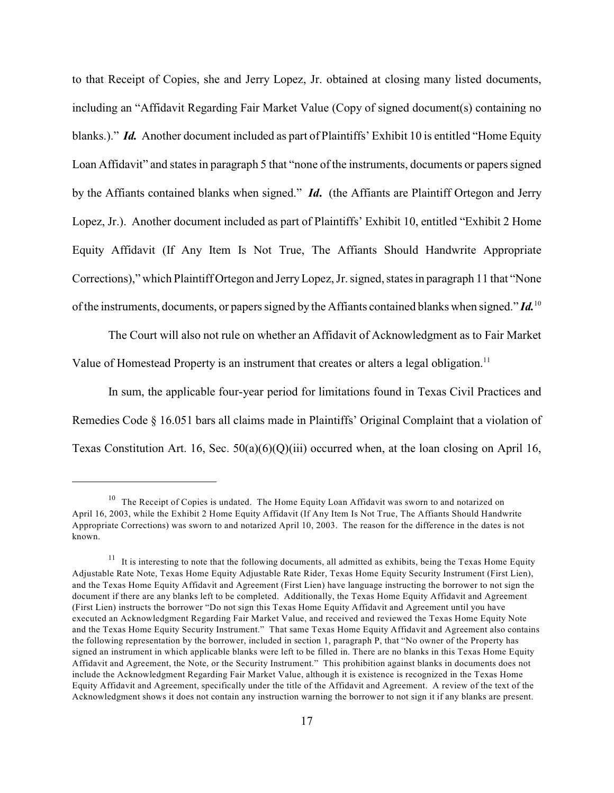to that Receipt of Copies, she and Jerry Lopez, Jr. obtained at closing many listed documents, including an "Affidavit Regarding Fair Market Value (Copy of signed document(s) containing no blanks.)." *Id.* Another document included as part of Plaintiffs' Exhibit 10 is entitled "Home Equity Loan Affidavit" and states in paragraph 5 that "none of the instruments, documents or papers signed by the Affiants contained blanks when signed." *Id***.** (the Affiants are Plaintiff Ortegon and Jerry Lopez, Jr.). Another document included as part of Plaintiffs' Exhibit 10, entitled "Exhibit 2 Home Equity Affidavit (If Any Item Is Not True, The Affiants Should Handwrite Appropriate Corrections)," which Plaintiff Ortegon and JerryLopez, Jr. signed, states in paragraph 11 that "None of the instruments, documents, or papers signed by the Affiants contained blanks when signed." *Id.*<sup>10</sup>

The Court will also not rule on whether an Affidavit of Acknowledgment as to Fair Market Value of Homestead Property is an instrument that creates or alters a legal obligation.<sup>11</sup>

In sum, the applicable four-year period for limitations found in Texas Civil Practices and Remedies Code § 16.051 bars all claims made in Plaintiffs' Original Complaint that a violation of Texas Constitution Art. 16, Sec.  $50(a)(6)(Q)(iii)$  occurred when, at the loan closing on April 16,

 $10$  The Receipt of Copies is undated. The Home Equity Loan Affidavit was sworn to and notarized on April 16, 2003, while the Exhibit 2 Home Equity Affidavit (If Any Item Is Not True, The Affiants Should Handwrite Appropriate Corrections) was sworn to and notarized April 10, 2003. The reason for the difference in the dates is not known.

 $11$  It is interesting to note that the following documents, all admitted as exhibits, being the Texas Home Equity Adjustable Rate Note, Texas Home Equity Adjustable Rate Rider, Texas Home Equity Security Instrument (First Lien), and the Texas Home Equity Affidavit and Agreement (First Lien) have language instructing the borrower to not sign the document if there are any blanks left to be completed. Additionally, the Texas Home Equity Affidavit and Agreement (First Lien) instructs the borrower "Do not sign this Texas Home Equity Affidavit and Agreement until you have executed an Acknowledgment Regarding Fair Market Value, and received and reviewed the Texas Home Equity Note and the Texas Home Equity Security Instrument." That same Texas Home Equity Affidavit and Agreement also contains the following representation by the borrower, included in section 1, paragraph P, that "No owner of the Property has signed an instrument in which applicable blanks were left to be filled in. There are no blanks in this Texas Home Equity Affidavit and Agreement, the Note, or the Security Instrument." This prohibition against blanks in documents does not include the Acknowledgment Regarding Fair Market Value, although it is existence is recognized in the Texas Home Equity Affidavit and Agreement, specifically under the title of the Affidavit and Agreement. A review of the text of the Acknowledgment shows it does not contain any instruction warning the borrower to not sign it if any blanks are present.